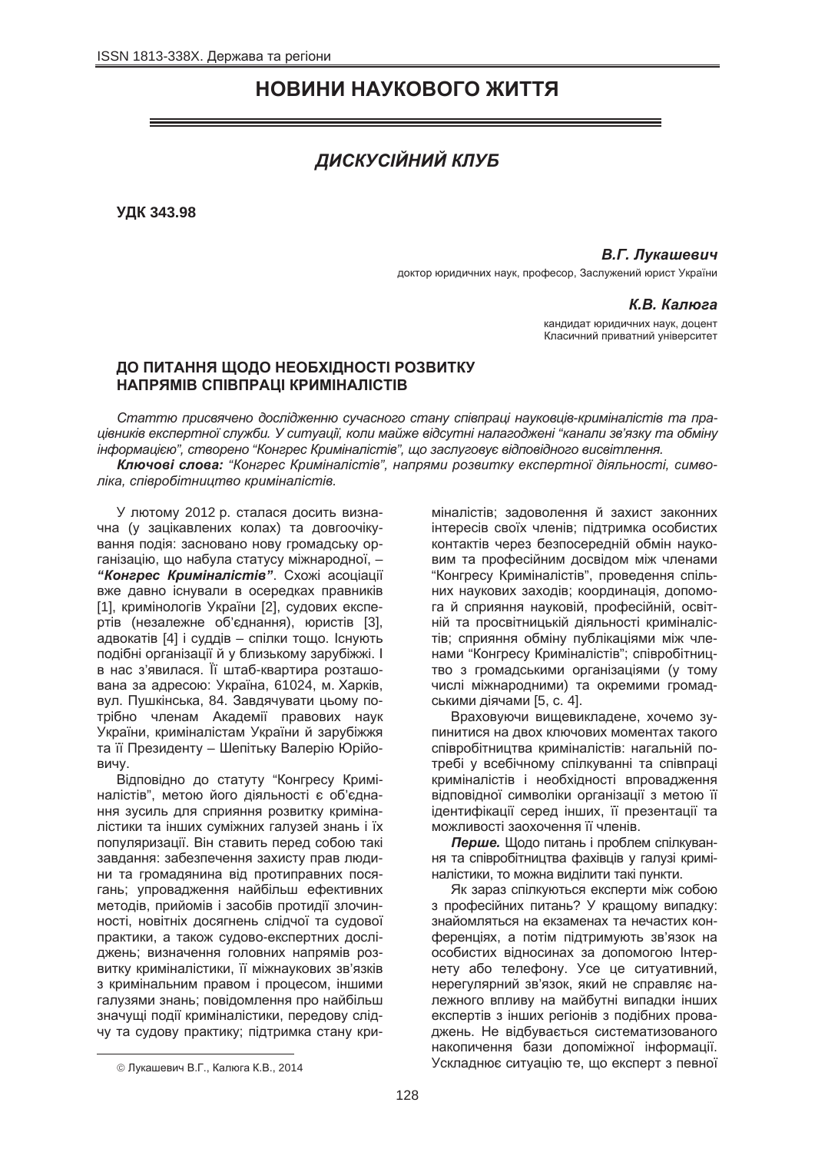# **НОВИНИ НАУКОВОГО ЖИТТЯ**

# ДИСКУСІЙНИЙ КЛУБ

**ɍȾɄ 343.98**

## **В.Г. Лукашевич**

доктор юридичних наук, професор, Заслужений юрист України

## **КВ Капюза**

кандидат юридичних наук, доцент Класичний приватний університет

# ДО ПИТАННЯ ЩОДО НЕОБХІДНОСТІ РОЗВИТКУ **НАПРЯМІВ СПІВПРАЦІ КРИМІНАЛІСТІВ**

Статтю присвячено дослідженню сучасного стану співпраці науковців-криміналістів та пра*ɰɿɜɧɢɤɿɜ ɟɤɫɩɟɪɬɧɨʀ ɫɥɭɠɛɢ. ɍ ɫɢɬɭɚɰɿʀ, ɤɨɥɢ ɦɚɣɠɟ ɜɿɞɫɭɬɧɿ ɧɚɥɚɝɨɞɠɟɧɿ "ɤɚɧɚɥɢ ɡɜ'ɹɡɤɭ ɬɚ ɨɛɦɿɧɭ*  $i$ нформацією", створено "Конгрес Криміналістів", що заслуговує відповідного висвітлення.

Ключові слова: "Конгрес Криміналістів", напрями розвитку експертної діяльності, симво*ліка, співробітништво криміналістів.* 

У лютому 2012 р. сталася досить визначна (у зацікавлених колах) та довгоочікування подія: засновано нову громадську організацію, що набула статусу міжнародної, -**"Конгрес Криміналістів"**. Схожі асоціації вже давно існували в осередках правників [1], кримінологів України [2], судових експе-• итв (незалежне об'єднання), юристів [3], адвокатів [4] і суддів – спілки тощо. Існують подібні організації й у близькому зарубіжжі. І в нас з'явилася. Її штаб-квартира розташована за адресою: Україна, 61024, м. Харків, вул. Пушкінська, 84. Завдячувати цьому потрібно членам Академії правових наук України, криміналістам України й зарубіжжя та її Президенту – Шепітьку Валерію Юрійовичу.

Відповідно до статуту "Конгресу Криміналістів", метою його діяльності є об'єднання зусиль для сприяння розвитку криміналістики та інших суміжних галузей знань і їх популяризації. Він ставить перед собою такі завдання: забезпечення захисту прав людини та громадянина від протиправних посягань; упровадження найбільш ефективних методів, прийомів і засобів протидії злочинності, новітніх досягнень слідчої та судової практики, а також судово-експертних досліджень: визначення головних напрямів розвитку криміналістики, її міжнаукових зв'язків з кримінальним правом і процесом, іншими галузями знань; повідомлення про найбільш значущі події криміналістики, передову слідчу та судову практику; підтримка стану криміналістів; задоволення й захист законних інтересів своїх членів; підтримка особистих контактів через безпосередній обмін науковим та професійним досвідом між членами "Конгресу Криміналістів", проведення спільних наукових заходів; координація, допомога й сприяння науковій, професійній, освітній та просвітницькій діяльності криміналістів: сприяння обміну публікаціями між членами "Конгресу Криміналістів"; співробітництво з громадськими організаціями (у тому числі міжнародними) та окремими громадськими діячами [5, с. 4].

Враховуючи вишевикладене, хочемо зупинитися на двох ключових моментах такого співробітництва криміналістів: нагальній потребі у всебічному спілкуванні та співпраці криміналістів і необхідності впровадження відповідної символіки організації з метою її ідентифікації серед інших, її презентації та можливості заохочення її членів.

**Перше.** Щодо питань і проблем спілкування та співробітництва фахівців у галузі криміналістики, то можна виділити такі пункти.

Як зараз спілкуються експерти між собою з професійних питань? У кращому випадку: знайомляться на екзаменах та нечастих конференціях, а потім підтримують зв'язок на особистих відносинах за допомогою Інтернету або телефону. Усе це ситуативний, нерегулярний зв'язок, який не справляє належного впливу на майбутні випадки інших експертів з інших регіонів з подібних проваджень. Не відбувається систематизованого накопичення бази допоміжної інформації. Ускладнює ситуацію те, що експерт з певної

 $\overline{\phantom{a}}$ 

<sup>©</sup> Лукашевич В.Г., Калюга К.В., 2014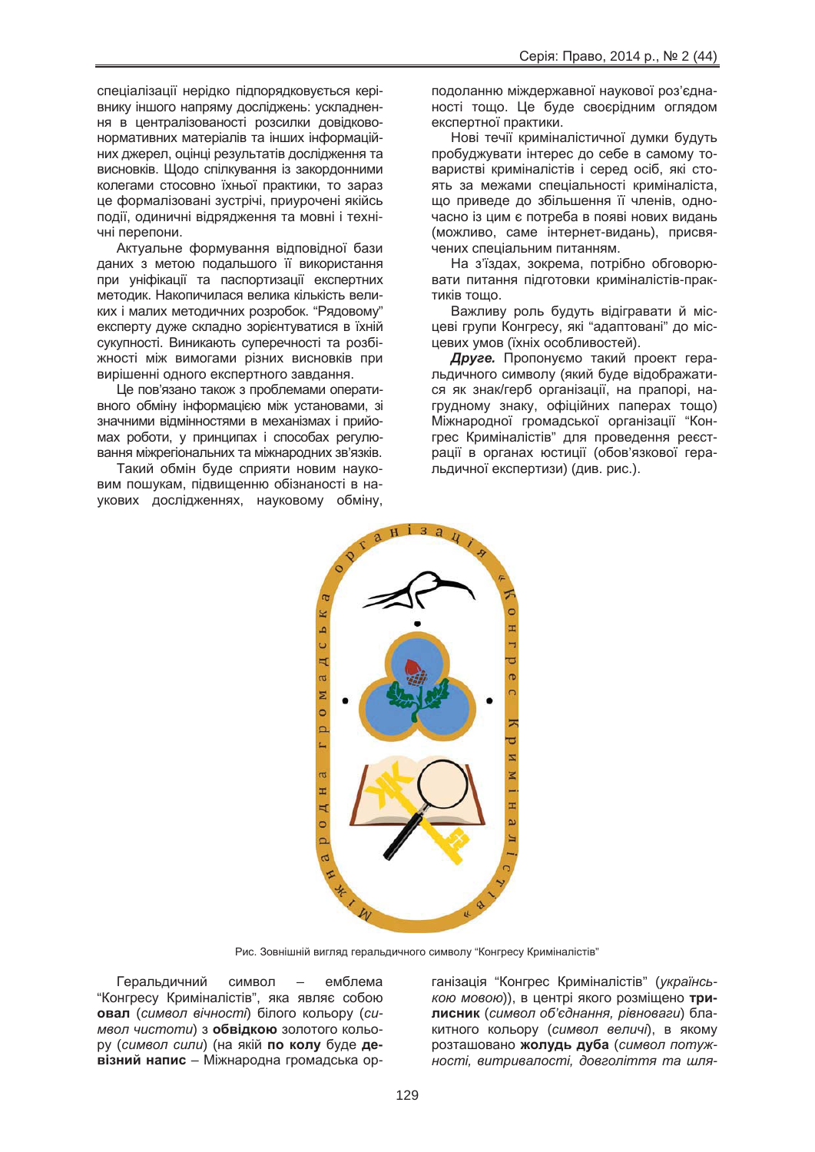спеціалізації нерідко підпорядковується керівнику іншого напряму досліджень: ускладнення в централізованості розсилки довідковонормативних матеріалів та інших інформаційних джерел, оцінці результатів дослідження та висновків. Щодо спілкування із закордонними колегами стосовно їхньої практики, то зараз це формалізовані зустрічі, приурочені якійсь події, одиничні відрядження та мовні і технічні перепони.

Актуальне формування відповідної бази даних з метою подальшого її використання при уніфікації та паспортизації експертних методик. Накопичилася велика кількість великих і малих методичних розробок. "Рядовому" експерту дуже складно зорієнтуватися в їхній сукупності. Виникають суперечності та розбіжності між вимогами різних висновків при вирішенні одного експертного завдання.

Це пов'язано також з проблемами оперативного обміну інформацією між установами, зі значними відмінностями в механізмах і прийомах роботи, у принципах і способах регулювання міжрегіональних та міжнародних зв'язків.

Такий обмін буде сприяти новим науковим пошукам, підвищенню обізнаності в наукових дослідженнях, науковому обміну, подоланню міждержавної наукової роз'єднаності тощо. Це буде своєрідним оглядом експертної практики.

Нові течії криміналістичної думки будуть пробуджувати інтерес до себе в самому товаристві криміналістів і серед осіб, які стоять за межами спеціальності криміналіста, що приведе до збільшення її членів, одночасно із цим є потреба в появі нових видань (можливо, саме інтернет-видань), присвячених спеціальним питанням.

На з'їздах, зокрема, потрібно обговорювати питання підготовки криміналістів-практиків тошо.

Важливу роль будуть відігравати й місцеві групи Конгресу, які "адаптовані" до місцевих умов (їхніх особливостей).

**Друге.** Пропонуємо такий проект геральдичного символу (який буде відображатися як знак/герб організації, на прапорі, нагрудному знаку, офіційних паперах тощо) Міжнародної громадської організації "Конгрес Криміналістів" для проведення реєстрації в органах юстиції (обов'язкової геральдичної експертизи) (див. рис.).



Рис. Зовнішній вигляд геральдичного символу "Конгресу Криміналістів"

Геральдичний символ – емблема "Конгресу Криміналістів", яка являє собою **• овал** (символ вічності) білого кольору (си-*Mвол чистоти*) з обвідкою золотого кольо $pv$  (*символ сили*) (на якій **по колу** буде де**візний напис** – Міжнародна громадська ор-

ганізація "Конгрес Криміналістів" (*українською мовою*)), в центрі якого розміщено трилисник (символ об'єднання, рівноваги) блакитного кольору (*символ величі*), в якому розташовано жолудь дуба (символ потуж- $<sup>i</sup>$ ності, витривалості, довголіття та шля-</sup>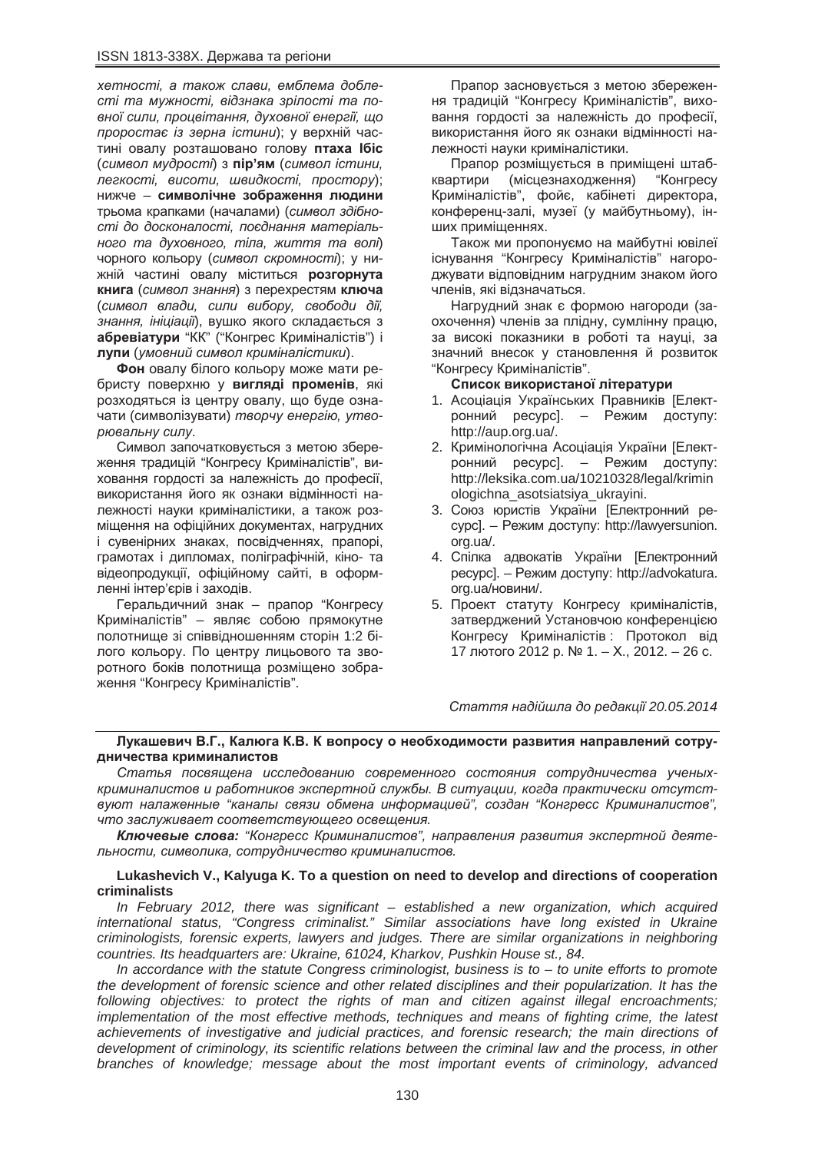$x$ етності, а також слави, емблема добле $c$ *mi ma мужності, відзнака зрілості та по-* $B$ *вної сили, процвітання, духовної енергії, що проростає із зерна істини*); у верхній частині овалу розташовано голову **птаха Ібіс** (символ мудрості) з пір'ям (символ істини,  $\pi$ егкості, висоти, швидкості, простору); **НИЖЧЕ – СИМВОЛІЧНЕ ЗОбраження людини** трьома крапками (началами) (символ здібності до досконалості, поєднання матеріаль*ного та духовного, тіла, життя та волі*) чорного кольору (символ скромності); у нижній частині овалу міститься **розгорнута** книга (символ знання) з перехрестям ключа (символ влади, сили вибору, свободи дії, знання, *ініціації*), вушко якого складається з абревіатури "КК" ("Конгрес Криміналістів") і лупи (умовний символ криміналістики).

Фон овалу білого кольору може мати ребристу поверхню у вигляді променів, які розходяться із центру овалу, що буде означати (символізувати) *творчу енергію, утво-* $$ 

Символ започатковується з метою збереження традицій "Конгресу Криміналістів", виховання гордості за належність до професії, використання його як ознаки відмінності належності науки криміналістики, а також розміщення на офіційних документах, нагрудних і сувенірних знаках, посвідченнях, прапорі, грамотах і дипломах, поліграфічній, кіно- та відеопродукції, офіційному сайті, в оформленні інтер'єрів і заходів.

Геральдичний знак – прапор "Конгресу Криміналістів" – являє собою прямокутне полотнище зі співвідношенням сторін 1:2 білого кольору. По центру лицьового та зворотного боків полотниша розмішено зображення "Конгресу Криміналістів".

Прапор засновується з метою збереження традицій "Конгресу Криміналістів", виховання гордості за належність до професії, використання його як ознаки відмінності належності науки криміналістики.

Прапор розміщується в приміщені штабквартири (місцезнаходження) "Конгресу Криміналістів", фойє, кабінеті директора, конференц-залі, музеї (у майбутньому), інших приміщеннях.

Також ми пропонуємо на майбутні ювілеї існування "Конгресу Криміналістів" нагороджувати відповідним нагрудним знаком його членів, які відзначаться.

Нагрудний знак є формою нагороди (заохочення) членів за плідну, сумлінну працю, за високі показники в роботі та науці, за значний внесок у становлення й розвиток "Конгресу Криміналістів".

### Список використаної літератури

- 1. Асоціація Українських Правників [Електронний ресурс]. – Режим доступу: http://aup.org.ua/.
- 2. Кримінологічна Асоціація України [Електронний ресурс]. – Режим доступу: http://leksika.com.ua/10210328/legal/krimin ologichna\_asotsiatsiya\_ukrayini.
- 3. Союз юристів України [Електронний реcypc]. – Режим доступу: http://lawyersunion. org.ua/.
- 4. Спілка адвокатів України [Електронний pecypc]. – Режим доступу: http://advokatura. org.ua/новини/.
- 5. Проект статуту Конгресу криміналістів, затверджений Установчою конференцією Конгресу Криміналістів : Протокол від 17 лютого 2012 р. № 1. – Х., 2012. – 26 с.

*ɋɬɚɬɬɹ ɧɚɞɿɣɲɥɚ ɞɨ ɪɟɞɚɤɰɿʀ 20.05.2014*

### Лукашевич В.Г., Калюга К.В. К вопросу о необходимости развития направлений сотрудничества криминалистов

Статья посвящена исследованию современного состояния сотрудничества ученых**криминалистов и работников экспертной службы. В ситуации, когда практически отсутст***ɜɭɸɬ ɧɚɥɚɠɟɧɧɵɟ "ɤɚɧɚɥɵ ɫɜɹɡɢ ɨɛɦɟɧɚ ɢɧɮɨɪɦɚɰɢɟɣ", ɫɨɡɞɚɧ "Ʉɨɧɝɪɟɫɫ Ʉɪɢɦɢɧɚɥɢɫɬɨɜ",* **что заслуживает соответствующего освещения.** 

**Ключевые слова:** "Конгресс Криминалистов", направления развития экспертной деяте- $I$  $I$ Ьности, символика, сотрудничество криминалистов.

## **Lukashevich V., Kalyuga K. To a question on need to develop and directions of cooperation criminalists**

*In February 2012, there was significant – established a new organization, which acquired international status, "Congress criminalist." Similar associations have long existed in Ukraine criminologists, forensic experts, lawyers and judges. There are similar organizations in neighboring countries. Its headquarters are: Ukraine, 61024, Kharkov, Pushkin House st., 84.*

*In accordance with the statute Congress criminologist, business is to – to unite efforts to promote the development of forensic science and other related disciplines and their popularization. It has the following objectives: to protect the rights of man and citizen against illegal encroachments; implementation of the most effective methods, techniques and means of fighting crime, the latest achievements of investigative and judicial practices, and forensic research; the main directions of development of criminology, its scientific relations between the criminal law and the process, in other branches of knowledge; message about the most important events of criminology, advanced*